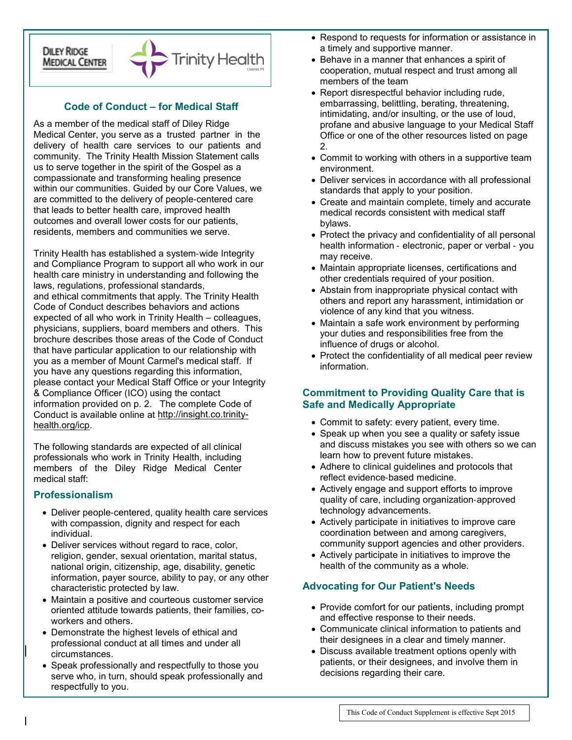### **DILEY RIDGE MEDICAL CENTER**



## **Code of Conduct – for Medical Staff**

As a member of the medical staff of Diley Ridge Medical Center, you serve as a trusted partner in the delivery of health care services to our patients and community. The Trinity Health Mission Statement calls us to serve together in the spirit of the Gospel as a compassionate and transforming healing presence within our communities. Guided by our Core Values, we are committed to the delivery of people‐centered care that leads to better health care, improved health outcomes and overall lower costs for our patients, residents, members and communities we serve.

Trinity Health has established a system‐wide Integrity and Compliance Program to support all who work in our health care ministry in understanding and following the laws, regulations, professional standards, and ethical commitments that apply. The Trinity Health Code of Conduct describes behaviors and actions expected of all who work in Trinity Health – colleagues, physicians, suppliers, board members and others. This brochure describes those areas of the Code of Conduct that have particular application to our relationship with you as a member of Mount Carmel's medical staff. If you have any questions regarding this information, please contact your Medical Staff Office or your Integrity & Compliance Officer (ICO) using the contact information provided on p. 2. The complete Code of Conduct is available online at [http://insight.co.trinity](http://insight.co.trinity-health.org/icp)[health.org/icp.](http://insight.co.trinity-health.org/icp)

The following standards are expected of all clinical professionals who work in Trinity Health, including members of the Diley Ridge Medical Center medical staff:

#### **Professionalism**

- Deliver people‐centered, quality health care services with compassion, dignity and respect for each individual.
- Deliver services without regard to race, color, religion, gender, sexual orientation, marital status, national origin, citizenship, age, disability, genetic information, payer source, ability to pay, or any other characteristic protected by law.
- Maintain a positive and courteous customer service oriented attitude towards patients, their families, coworkers and others.
- Demonstrate the highest levels of ethical and professional conduct at all times and under all circumstances.
- Speak professionally and respectfully to those you serve who, in turn, should speak professionally and respectfully to you.
- Respond to requests for information or assistance in a timely and supportive manner.
- Behave in a manner that enhances a spirit of cooperation, mutual respect and trust among all members of the team
- Report disrespectful behavior including rude, embarrassing, belittling, berating, threatening, intimidating, and/or insulting, or the use of loud, profane and abusive language to your Medical Staff Office or one of the other resources listed on page  $\mathcal{P}$
- Commit to working with others in a supportive team environment.
- Deliver services in accordance with all professional standards that apply to your position.
- Create and maintain complete, timely and accurate medical records consistent with medical staff bylaws.
- Protect the privacy and confidentiality of all personal health information ‐ electronic, paper or verbal ‐ you may receive.
- Maintain appropriate licenses, certifications and other credentials required of your position.
- Abstain from inappropriate physical contact with others and report any harassment, intimidation or violence of any kind that you witness.
- Maintain a safe work environment by performing your duties and responsibilities free from the influence of drugs or alcohol.
- Protect the confidentiality of all medical peer review information.

## **Commitment to Providing Quality Care that is Safe and Medically Appropriate**

- Commit to safety: every patient, every time.
- Speak up when you see a quality or safety issue and discuss mistakes you see with others so we can learn how to prevent future mistakes.
- Adhere to clinical guidelines and protocols that reflect evidence‐based medicine.
- Actively engage and support efforts to improve quality of care, including organization‐approved technology advancements.
- Actively participate in initiatives to improve care coordination between and among caregivers, community support agencies and other providers.
- Actively participate in initiatives to improve the health of the community as a whole.

## **Advocating for Our Patient's Needs**

- Provide comfort for our patients, including prompt and effective response to their needs.
- Communicate clinical information to patients and their designees in a clear and timely manner.
- Discuss available treatment options openly with patients, or their designees, and involve them in decisions regarding their care.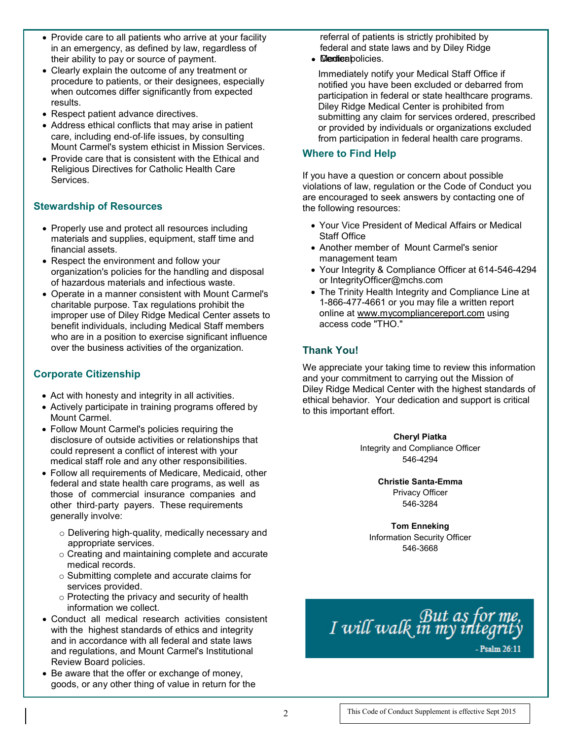- Provide care to all patients who arrive at your facility in an emergency, as defined by law, regardless of their ability to pay or source of payment.
- Clearly explain the outcome of any treatment or procedure to patients, or their designees, especially when outcomes differ significantly from expected results.
- Respect patient advance directives.
- Address ethical conflicts that may arise in patient care, including end‐of‐life issues, by consulting Mount Carmel's system ethicist in Mission Services.
- Provide care that is consistent with the Ethical and Religious Directives for Catholic Health Care Services.

## **Stewardship of Resources**

- Properly use and protect all resources including materials and supplies, equipment, staff time and financial assets.
- Respect the environment and follow your organization's policies for the handling and disposal of hazardous materials and infectious waste.
- Operate in a manner consistent with Mount Carmel's charitable purpose. Tax regulations prohibit the improper use of Diley Ridge Medical Center assets to benefit individuals, including Medical Staff members who are in a position to exercise significant influence over the business activities of the organization.

# **Corporate Citizenship**

- Act with honesty and integrity in all activities.
- Actively participate in training programs offered by Mount Carmel.
- Follow Mount Carmel's policies requiring the disclosure of outside activities or relationships that could represent a conflict of interest with your medical staff role and any other responsibilities.
- Follow all requirements of Medicare, Medicaid, other federal and state health care programs, as well as those of commercial insurance companies and other third‐party payers. These requirements generally involve:
	- o Delivering high‐quality, medically necessary and appropriate services.
	- o Creating and maintaining complete and accurate medical records.
	- o Submitting complete and accurate claims for services provided.
	- o Protecting the privacy and security of health information we collect.
- Conduct all medical research activities consistent with the highest standards of ethics and integrity and in accordance with all federal and state laws and regulations, and Mount Carmel's Institutional Review Board policies.
- Be aware that the offer or exchange of money, goods, or any other thing of value in return for the

referral of patients is strictly prohibited by federal and state laws and by Diley Ridge • **Medicabolicies.** 

Immediately notify your Medical Staff Office if notified you have been excluded or debarred from participation in federal or state healthcare programs. Diley Ridge Medical Center is prohibited from submitting any claim for services ordered, prescribed or provided by individuals or organizations excluded from participation in federal health care programs.

### **Where to Find Help**

If you have a question or concern about possible violations of law, regulation or the Code of Conduct you are encouraged to seek answers by contacting one of the following resources:

- Your Vice President of Medical Affairs or Medical Staff Office
- Another member of Mount Carmel's senior management team
- Your Integrity & Compliance Officer at 614-546-4294 or IntegrityOfficer@mchs.com
- The Trinity Health Integrity and Compliance Line at 1-866-477-4661 or you may file a written report online at [www.mycompliancereport.com](http://www.mycompliancereport.com/) using access code "THO."

# **Thank You!**

We appreciate your taking time to review this information and your commitment to carrying out the Mission of Diley Ridge Medical Center with the highest standards of ethical behavior. Your dedication and support is critical to this important effort.

> **Cheryl Piatka** Integrity and Compliance Officer 546-4294

> > **Christie Santa-Emma** Privacy Officer 546-3284

**Tom Enneking** Information Security Officer 546-3668